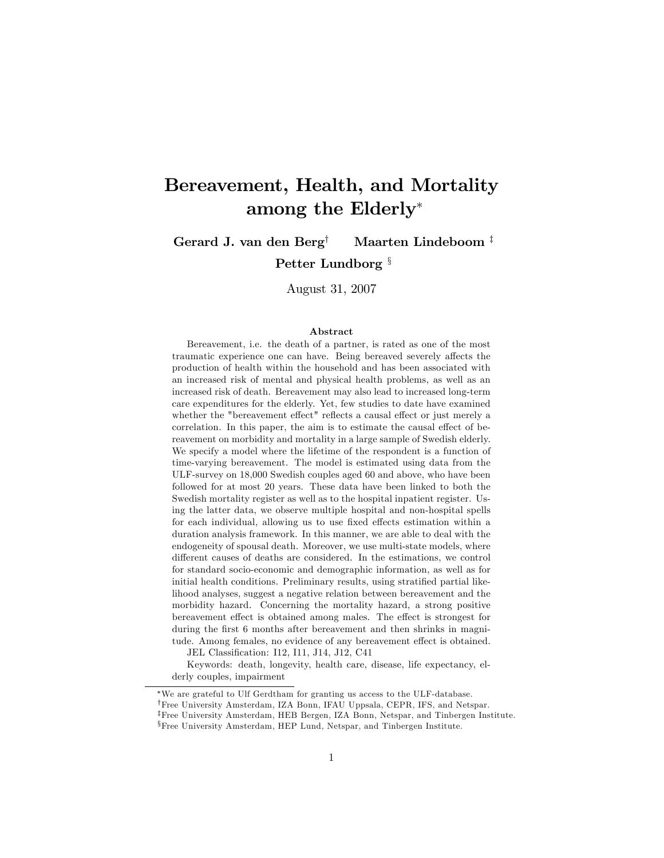# Bereavement, Health, and Mortality among the Elderly

Gerard J. van den Berg<sup>†</sup> Maarten Lindeboom<sup>‡</sup>

Petter Lundborg  $\frac{8}{3}$ 

August 31, 2007

#### Abstract

Bereavement, i.e. the death of a partner, is rated as one of the most traumatic experience one can have. Being bereaved severely affects the production of health within the household and has been associated with an increased risk of mental and physical health problems, as well as an increased risk of death. Bereavement may also lead to increased long-term care expenditures for the elderly. Yet, few studies to date have examined whether the "bereavement effect" reflects a causal effect or just merely a correlation. In this paper, the aim is to estimate the causal effect of bereavement on morbidity and mortality in a large sample of Swedish elderly. We specify a model where the lifetime of the respondent is a function of time-varying bereavement. The model is estimated using data from the ULF-survey on 18,000 Swedish couples aged 60 and above, who have been followed for at most 20 years. These data have been linked to both the Swedish mortality register as well as to the hospital inpatient register. Using the latter data, we observe multiple hospital and non-hospital spells for each individual, allowing us to use fixed effects estimation within a duration analysis framework. In this manner, we are able to deal with the endogeneity of spousal death. Moreover, we use multi-state models, where different causes of deaths are considered. In the estimations, we control for standard socio-economic and demographic information, as well as for initial health conditions. Preliminary results, using stratified partial likelihood analyses, suggest a negative relation between bereavement and the morbidity hazard. Concerning the mortality hazard, a strong positive bereavement effect is obtained among males. The effect is strongest for during the first 6 months after bereavement and then shrinks in magnitude. Among females, no evidence of any bereavement effect is obtained.

JEL Classification: I12, I11, J14, J12, C41

Keywords: death, longevity, health care, disease, life expectancy, elderly couples, impairment

We are grateful to Ulf Gerdtham for granting us access to the ULF-database.

<sup>&</sup>lt;sup>†</sup>Free University Amsterdam, IZA Bonn, IFAU Uppsala, CEPR, IFS, and Netspar.

<sup>&</sup>lt;sup>‡</sup>Free University Amsterdam, HEB Bergen, IZA Bonn, Netspar, and Tinbergen Institute.

<sup>&</sup>lt;sup>§</sup>Free University Amsterdam, HEP Lund, Netspar, and Tinbergen Institute.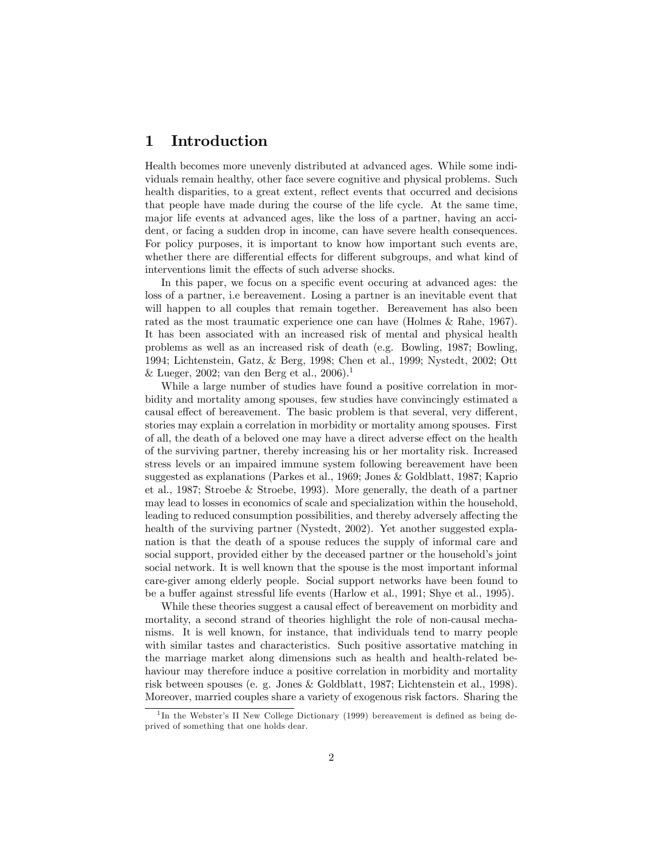## 1 Introduction

Health becomes more unevenly distributed at advanced ages. While some individuals remain healthy, other face severe cognitive and physical problems. Such health disparities, to a great extent, reflect events that occurred and decisions that people have made during the course of the life cycle. At the same time, major life events at advanced ages, like the loss of a partner, having an accident, or facing a sudden drop in income, can have severe health consequences. For policy purposes, it is important to know how important such events are, whether there are differential effects for different subgroups, and what kind of interventions limit the effects of such adverse shocks.

In this paper, we focus on a specific event occuring at advanced ages: the loss of a partner, i.e bereavement. Losing a partner is an inevitable event that will happen to all couples that remain together. Bereavement has also been rated as the most traumatic experience one can have (Holmes & Rahe, 1967). It has been associated with an increased risk of mental and physical health problems as well as an increased risk of death (e.g. Bowling, 1987; Bowling, 1994; Lichtenstein, Gatz, & Berg, 1998; Chen et al., 1999; Nystedt, 2002; Ott & Lueger, 2002; van den Berg et al., 2006).<sup>1</sup>

While a large number of studies have found a positive correlation in morbidity and mortality among spouses, few studies have convincingly estimated a causal effect of bereavement. The basic problem is that several, very different, stories may explain a correlation in morbidity or mortality among spouses. First of all, the death of a beloved one may have a direct adverse effect on the health of the surviving partner, thereby increasing his or her mortality risk. Increased stress levels or an impaired immune system following bereavement have been suggested as explanations (Parkes et al., 1969; Jones & Goldblatt, 1987; Kaprio et al., 1987; Stroebe & Stroebe, 1993). More generally, the death of a partner may lead to losses in economics of scale and specialization within the household, leading to reduced consumption possibilities, and thereby adversely affecting the health of the surviving partner (Nystedt, 2002). Yet another suggested explanation is that the death of a spouse reduces the supply of informal care and social support, provided either by the deceased partner or the household's joint social network. It is well known that the spouse is the most important informal care-giver among elderly people. Social support networks have been found to be a buffer against stressful life events (Harlow et al., 1991; Shye et al., 1995).

While these theories suggest a causal effect of bereavement on morbidity and mortality, a second strand of theories highlight the role of non-causal mechanisms. It is well known, for instance, that individuals tend to marry people with similar tastes and characteristics. Such positive assortative matching in the marriage market along dimensions such as health and health-related behaviour may therefore induce a positive correlation in morbidity and mortality risk between spouses (e. g. Jones & Goldblatt, 1987; Lichtenstein et al., 1998). Moreover, married couples share a variety of exogenous risk factors. Sharing the

<sup>&</sup>lt;sup>1</sup>In the Webster's II New College Dictionary (1999) bereavement is defined as being deprived of something that one holds dear.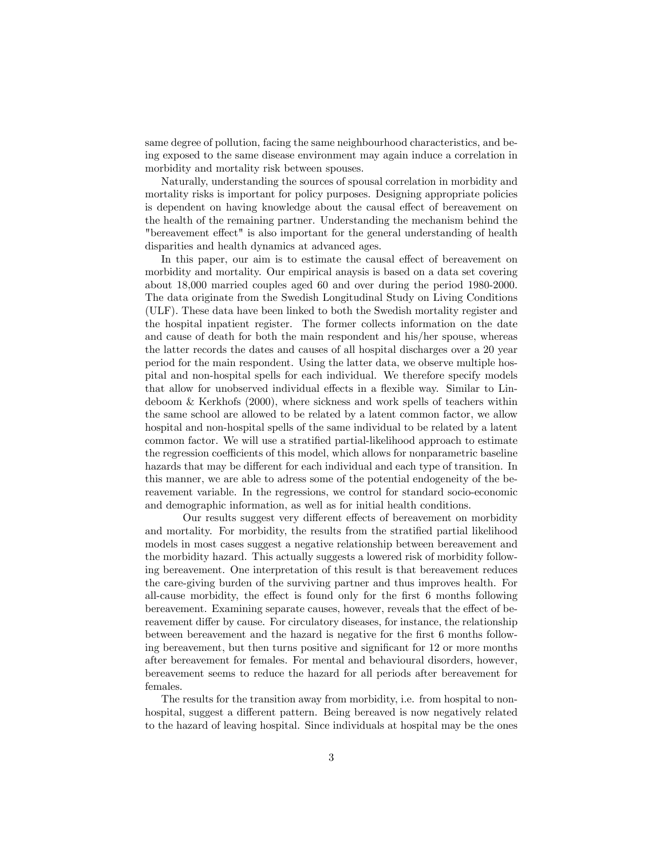same degree of pollution, facing the same neighbourhood characteristics, and being exposed to the same disease environment may again induce a correlation in morbidity and mortality risk between spouses.

Naturally, understanding the sources of spousal correlation in morbidity and mortality risks is important for policy purposes. Designing appropriate policies is dependent on having knowledge about the causal effect of bereavement on the health of the remaining partner. Understanding the mechanism behind the "bereavement effect" is also important for the general understanding of health disparities and health dynamics at advanced ages.

In this paper, our aim is to estimate the causal effect of bereavement on morbidity and mortality. Our empirical anaysis is based on a data set covering about 18,000 married couples aged 60 and over during the period 1980-2000. The data originate from the Swedish Longitudinal Study on Living Conditions (ULF). These data have been linked to both the Swedish mortality register and the hospital inpatient register. The former collects information on the date and cause of death for both the main respondent and his/her spouse, whereas the latter records the dates and causes of all hospital discharges over a 20 year period for the main respondent. Using the latter data, we observe multiple hospital and non-hospital spells for each individual. We therefore specify models that allow for unobserved individual effects in a flexible way. Similar to Lindeboom & Kerkhofs (2000), where sickness and work spells of teachers within the same school are allowed to be related by a latent common factor, we allow hospital and non-hospital spells of the same individual to be related by a latent common factor. We will use a stratified partial-likelihood approach to estimate the regression coefficients of this model, which allows for nonparametric baseline hazards that may be different for each individual and each type of transition. In this manner, we are able to adress some of the potential endogeneity of the bereavement variable. In the regressions, we control for standard socio-economic and demographic information, as well as for initial health conditions.

Our results suggest very different effects of bereavement on morbidity and mortality. For morbidity, the results from the stratified partial likelihood models in most cases suggest a negative relationship between bereavement and the morbidity hazard. This actually suggests a lowered risk of morbidity following bereavement. One interpretation of this result is that bereavement reduces the care-giving burden of the surviving partner and thus improves health. For all-cause morbidity, the effect is found only for the first 6 months following bereavement. Examining separate causes, however, reveals that the effect of bereavement differ by cause. For circulatory diseases, for instance, the relationship between bereavement and the hazard is negative for the first 6 months following bereavement, but then turns positive and significant for 12 or more months after bereavement for females. For mental and behavioural disorders, however, bereavement seems to reduce the hazard for all periods after bereavement for females.

The results for the transition away from morbidity, i.e. from hospital to nonhospital, suggest a different pattern. Being bereaved is now negatively related to the hazard of leaving hospital. Since individuals at hospital may be the ones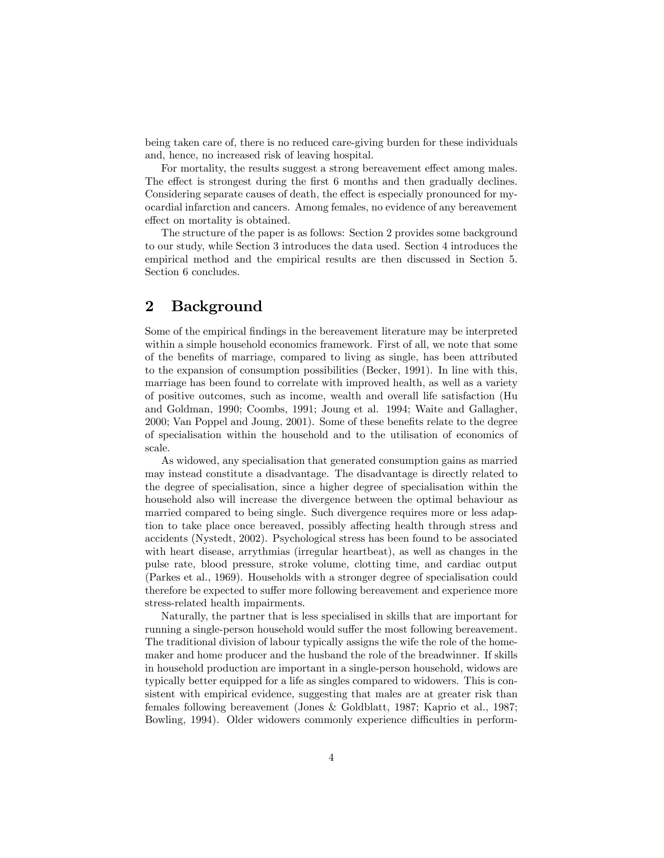being taken care of, there is no reduced care-giving burden for these individuals and, hence, no increased risk of leaving hospital.

For mortality, the results suggest a strong bereavement effect among males. The effect is strongest during the first 6 months and then gradually declines. Considering separate causes of death, the effect is especially pronounced for myocardial infarction and cancers. Among females, no evidence of any bereavement effect on mortality is obtained.

The structure of the paper is as follows: Section 2 provides some background to our study, while Section 3 introduces the data used. Section 4 introduces the empirical method and the empirical results are then discussed in Section 5. Section 6 concludes.

# 2 Background

Some of the empirical Öndings in the bereavement literature may be interpreted within a simple household economics framework. First of all, we note that some of the beneÖts of marriage, compared to living as single, has been attributed to the expansion of consumption possibilities (Becker, 1991). In line with this, marriage has been found to correlate with improved health, as well as a variety of positive outcomes, such as income, wealth and overall life satisfaction (Hu and Goldman, 1990; Coombs, 1991; Joung et al. 1994; Waite and Gallagher, 2000; Van Poppel and Joung, 2001). Some of these benefits relate to the degree of specialisation within the household and to the utilisation of economics of scale.

As widowed, any specialisation that generated consumption gains as married may instead constitute a disadvantage. The disadvantage is directly related to the degree of specialisation, since a higher degree of specialisation within the household also will increase the divergence between the optimal behaviour as married compared to being single. Such divergence requires more or less adaption to take place once bereaved, possibly affecting health through stress and accidents (Nystedt, 2002). Psychological stress has been found to be associated with heart disease, arrythmias (irregular heartbeat), as well as changes in the pulse rate, blood pressure, stroke volume, clotting time, and cardiac output (Parkes et al., 1969). Households with a stronger degree of specialisation could therefore be expected to suffer more following bereavement and experience more stress-related health impairments.

Naturally, the partner that is less specialised in skills that are important for running a single-person household would suffer the most following bereavement. The traditional division of labour typically assigns the wife the role of the homemaker and home producer and the husband the role of the breadwinner. If skills in household production are important in a single-person household, widows are typically better equipped for a life as singles compared to widowers. This is consistent with empirical evidence, suggesting that males are at greater risk than females following bereavement (Jones & Goldblatt, 1987; Kaprio et al., 1987; Bowling, 1994). Older widowers commonly experience difficulties in perform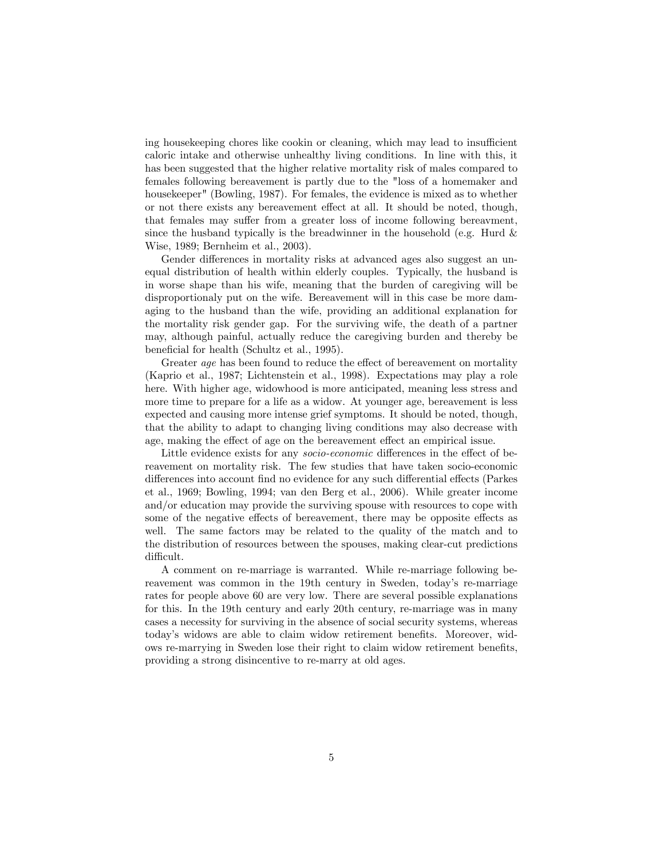ing house keeping chores like cookin or cleaning, which may lead to insufficient caloric intake and otherwise unhealthy living conditions. In line with this, it has been suggested that the higher relative mortality risk of males compared to females following bereavement is partly due to the "loss of a homemaker and housekeeper" (Bowling, 1987). For females, the evidence is mixed as to whether or not there exists any bereavement effect at all. It should be noted, though, that females may suffer from a greater loss of income following bereavment, since the husband typically is the breadwinner in the household (e.g. Hurd  $\&$ Wise, 1989; Bernheim et al., 2003).

Gender differences in mortality risks at advanced ages also suggest an unequal distribution of health within elderly couples. Typically, the husband is in worse shape than his wife, meaning that the burden of caregiving will be disproportionaly put on the wife. Bereavement will in this case be more damaging to the husband than the wife, providing an additional explanation for the mortality risk gender gap. For the surviving wife, the death of a partner may, although painful, actually reduce the caregiving burden and thereby be beneficial for health (Schultz et al., 1995).

Greater age has been found to reduce the effect of bereavement on mortality (Kaprio et al., 1987; Lichtenstein et al., 1998). Expectations may play a role here. With higher age, widowhood is more anticipated, meaning less stress and more time to prepare for a life as a widow. At younger age, bereavement is less expected and causing more intense grief symptoms. It should be noted, though, that the ability to adapt to changing living conditions may also decrease with age, making the effect of age on the bereavement effect an empirical issue.

Little evidence exists for any *socio-economic* differences in the effect of bereavement on mortality risk. The few studies that have taken socio-economic differences into account find no evidence for any such differential effects (Parkes et al., 1969; Bowling, 1994; van den Berg et al., 2006). While greater income and/or education may provide the surviving spouse with resources to cope with some of the negative effects of bereavement, there may be opposite effects as well. The same factors may be related to the quality of the match and to the distribution of resources between the spouses, making clear-cut predictions difficult.

A comment on re-marriage is warranted. While re-marriage following bereavement was common in the 19th century in Sweden, today's re-marriage rates for people above 60 are very low. There are several possible explanations for this. In the 19th century and early 20th century, re-marriage was in many cases a necessity for surviving in the absence of social security systems, whereas today's widows are able to claim widow retirement benefits. Moreover, widows re-marrying in Sweden lose their right to claim widow retirement benefits, providing a strong disincentive to re-marry at old ages.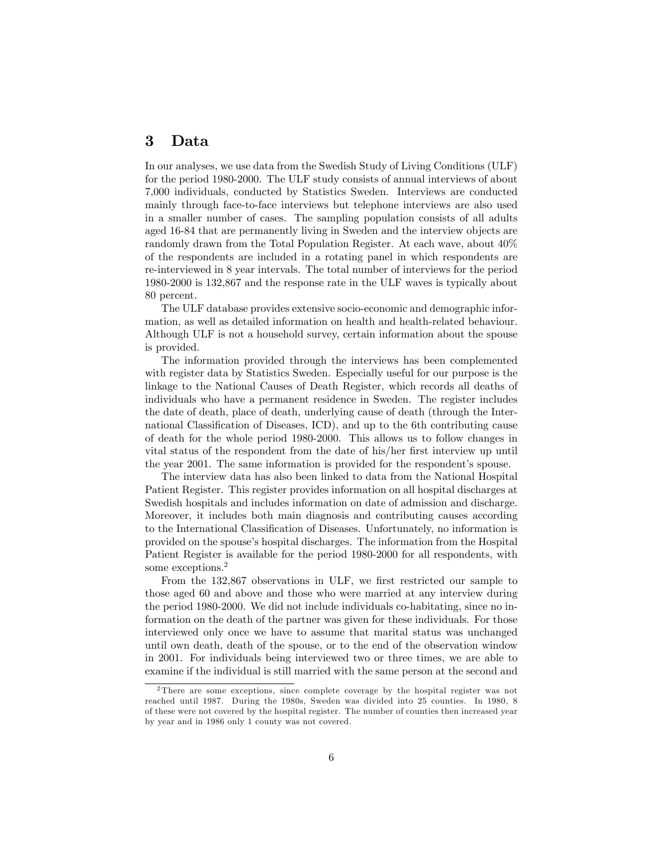### 3 Data

In our analyses, we use data from the Swedish Study of Living Conditions (ULF) for the period 1980-2000. The ULF study consists of annual interviews of about 7,000 individuals, conducted by Statistics Sweden. Interviews are conducted mainly through face-to-face interviews but telephone interviews are also used in a smaller number of cases. The sampling population consists of all adults aged 16-84 that are permanently living in Sweden and the interview objects are randomly drawn from the Total Population Register. At each wave, about 40% of the respondents are included in a rotating panel in which respondents are re-interviewed in 8 year intervals. The total number of interviews for the period 1980-2000 is 132,867 and the response rate in the ULF waves is typically about 80 percent.

The ULF database provides extensive socio-economic and demographic information, as well as detailed information on health and health-related behaviour. Although ULF is not a household survey, certain information about the spouse is provided.

The information provided through the interviews has been complemented with register data by Statistics Sweden. Especially useful for our purpose is the linkage to the National Causes of Death Register, which records all deaths of individuals who have a permanent residence in Sweden. The register includes the date of death, place of death, underlying cause of death (through the International Classification of Diseases, ICD), and up to the 6th contributing cause of death for the whole period 1980-2000. This allows us to follow changes in vital status of the respondent from the date of his/her first interview up until the year 2001. The same information is provided for the respondent's spouse.

The interview data has also been linked to data from the National Hospital Patient Register. This register provides information on all hospital discharges at Swedish hospitals and includes information on date of admission and discharge. Moreover, it includes both main diagnosis and contributing causes according to the International Classification of Diseases. Unfortunately, no information is provided on the spouse's hospital discharges. The information from the Hospital Patient Register is available for the period 1980-2000 for all respondents, with some exceptions.<sup>2</sup>

From the 132,867 observations in ULF, we first restricted our sample to those aged 60 and above and those who were married at any interview during the period 1980-2000. We did not include individuals co-habitating, since no information on the death of the partner was given for these individuals. For those interviewed only once we have to assume that marital status was unchanged until own death, death of the spouse, or to the end of the observation window in 2001. For individuals being interviewed two or three times, we are able to examine if the individual is still married with the same person at the second and

<sup>2</sup> There are some exceptions, since complete coverage by the hospital register was not reached until 1987. During the 1980s, Sweden was divided into 25 counties. In 1980, 8 of these were not covered by the hospital register. The number of counties then increased year by year and in 1986 only 1 county was not covered.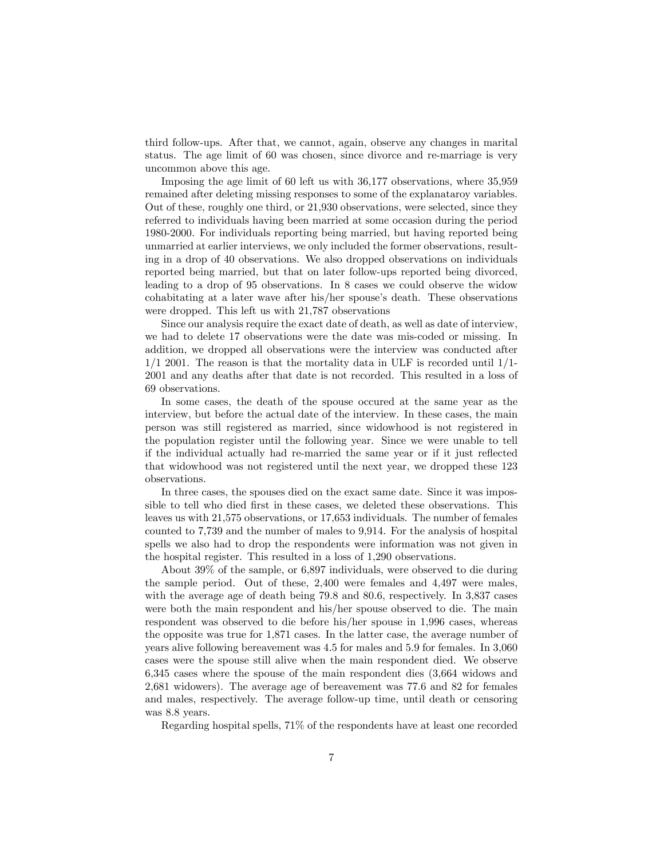third follow-ups. After that, we cannot, again, observe any changes in marital status. The age limit of 60 was chosen, since divorce and re-marriage is very uncommon above this age.

Imposing the age limit of 60 left us with 36,177 observations, where 35,959 remained after deleting missing responses to some of the explanataroy variables. Out of these, roughly one third, or 21,930 observations, were selected, since they referred to individuals having been married at some occasion during the period 1980-2000. For individuals reporting being married, but having reported being unmarried at earlier interviews, we only included the former observations, resulting in a drop of 40 observations. We also dropped observations on individuals reported being married, but that on later follow-ups reported being divorced, leading to a drop of 95 observations. In 8 cases we could observe the widow cohabitating at a later wave after his/her spouse's death. These observations were dropped. This left us with 21,787 observations

Since our analysis require the exact date of death, as well as date of interview, we had to delete 17 observations were the date was mis-coded or missing. In addition, we dropped all observations were the interview was conducted after  $1/1$  2001. The reason is that the mortality data in ULF is recorded until  $1/1$ -2001 and any deaths after that date is not recorded. This resulted in a loss of 69 observations.

In some cases, the death of the spouse occured at the same year as the interview, but before the actual date of the interview. In these cases, the main person was still registered as married, since widowhood is not registered in the population register until the following year. Since we were unable to tell if the individual actually had re-married the same year or if it just reflected that widowhood was not registered until the next year, we dropped these 123 observations.

In three cases, the spouses died on the exact same date. Since it was impossible to tell who died first in these cases, we deleted these observations. This leaves us with 21,575 observations, or 17,653 individuals. The number of females counted to 7,739 and the number of males to 9,914. For the analysis of hospital spells we also had to drop the respondents were information was not given in the hospital register. This resulted in a loss of 1,290 observations.

About 39% of the sample, or 6,897 individuals, were observed to die during the sample period. Out of these, 2,400 were females and 4,497 were males, with the average age of death being 79.8 and 80.6, respectively. In 3,837 cases were both the main respondent and his/her spouse observed to die. The main respondent was observed to die before his/her spouse in 1,996 cases, whereas the opposite was true for 1,871 cases. In the latter case, the average number of years alive following bereavement was 4.5 for males and 5.9 for females. In 3,060 cases were the spouse still alive when the main respondent died. We observe 6,345 cases where the spouse of the main respondent dies (3,664 widows and 2,681 widowers). The average age of bereavement was 77.6 and 82 for females and males, respectively. The average follow-up time, until death or censoring was 8.8 years.

Regarding hospital spells, 71% of the respondents have at least one recorded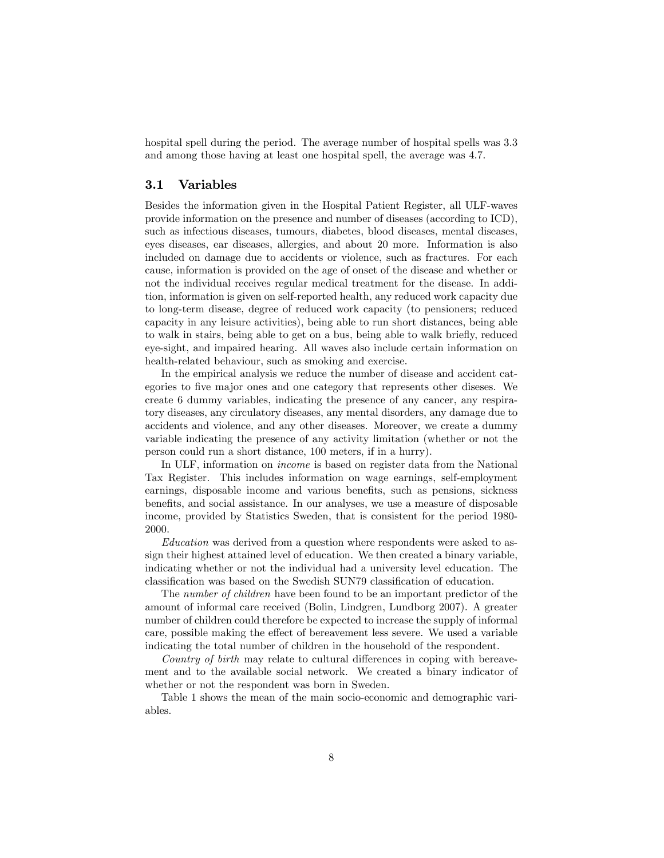hospital spell during the period. The average number of hospital spells was 3.3 and among those having at least one hospital spell, the average was 4.7.

#### 3.1 Variables

Besides the information given in the Hospital Patient Register, all ULF-waves provide information on the presence and number of diseases (according to ICD), such as infectious diseases, tumours, diabetes, blood diseases, mental diseases, eyes diseases, ear diseases, allergies, and about 20 more. Information is also included on damage due to accidents or violence, such as fractures. For each cause, information is provided on the age of onset of the disease and whether or not the individual receives regular medical treatment for the disease. In addition, information is given on self-reported health, any reduced work capacity due to long-term disease, degree of reduced work capacity (to pensioners; reduced capacity in any leisure activities), being able to run short distances, being able to walk in stairs, being able to get on a bus, being able to walk briefly, reduced eye-sight, and impaired hearing. All waves also include certain information on health-related behaviour, such as smoking and exercise.

In the empirical analysis we reduce the number of disease and accident categories to five major ones and one category that represents other diseses. We create 6 dummy variables, indicating the presence of any cancer, any respiratory diseases, any circulatory diseases, any mental disorders, any damage due to accidents and violence, and any other diseases. Moreover, we create a dummy variable indicating the presence of any activity limitation (whether or not the person could run a short distance, 100 meters, if in a hurry).

In ULF, information on income is based on register data from the National Tax Register. This includes information on wage earnings, self-employment earnings, disposable income and various benefits, such as pensions, sickness benefits, and social assistance. In our analyses, we use a measure of disposable income, provided by Statistics Sweden, that is consistent for the period 1980- 2000.

Education was derived from a question where respondents were asked to assign their highest attained level of education. We then created a binary variable, indicating whether or not the individual had a university level education. The classification was based on the Swedish SUN79 classification of education.

The number of children have been found to be an important predictor of the amount of informal care received (Bolin, Lindgren, Lundborg 2007). A greater number of children could therefore be expected to increase the supply of informal care, possible making the effect of bereavement less severe. We used a variable indicating the total number of children in the household of the respondent.

Country of birth may relate to cultural differences in coping with bereavement and to the available social network. We created a binary indicator of whether or not the respondent was born in Sweden.

Table 1 shows the mean of the main socio-economic and demographic variables.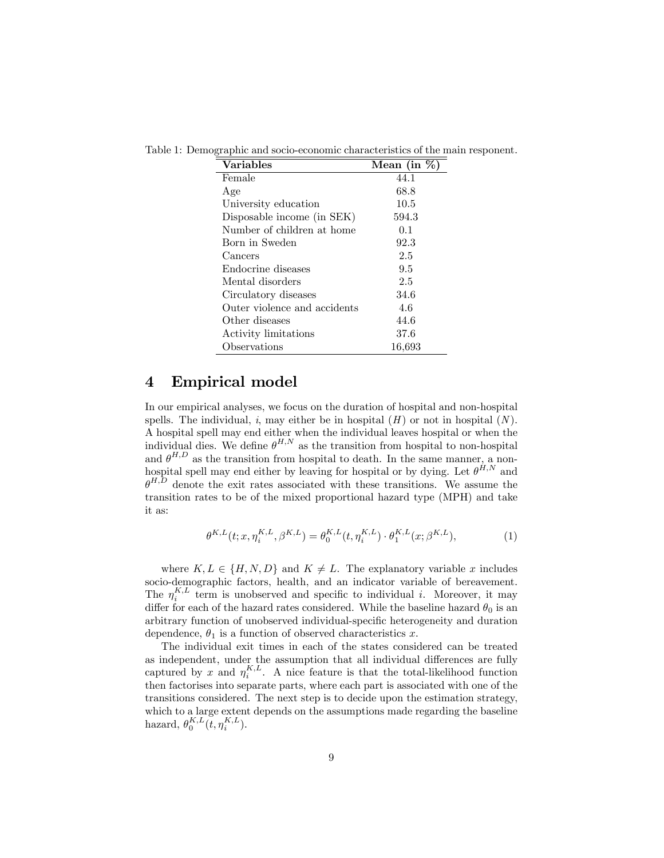| <b>Variables</b>             | Mean (in $%$ ) |
|------------------------------|----------------|
| Female                       | 44.1           |
| Age                          | 68.8           |
| University education         | 10.5           |
| Disposable income (in SEK)   | 594.3          |
| Number of children at home   | 0.1            |
| Born in Sweden               | 92.3           |
| Cancers                      | 2.5            |
| Endocrine diseases           | 9.5            |
| Mental disorders             | 2.5            |
| Circulatory diseases         | 34.6           |
| Outer violence and accidents | 4.6            |
| Other diseases               | 44.6           |
| Activity limitations         | 37.6           |
| Observations                 | 16,693         |

Table 1: Demographic and socio-economic characteristics of the main responent.

### 4 Empirical model

In our empirical analyses, we focus on the duration of hospital and non-hospital spells. The individual, i, may either be in hospital  $(H)$  or not in hospital  $(N)$ . A hospital spell may end either when the individual leaves hospital or when the individual dies. We define  $\theta^{H,N}$  as the transition from hospital to non-hospital and  $\theta^{H,D}$  as the transition from hospital to death. In the same manner, a nonhospital spell may end either by leaving for hospital or by dying. Let  $\theta^{H,N}$  and  $\theta^{H,D}$  denote the exit rates associated with these transitions. We assume the transition rates to be of the mixed proportional hazard type (MPH) and take it as:

$$
\theta^{K,L}(t; x, \eta_i^{K,L}, \beta^{K,L}) = \theta_0^{K,L}(t, \eta_i^{K,L}) \cdot \theta_1^{K,L}(x; \beta^{K,L}), \tag{1}
$$

where  $K, L \in \{H, N, D\}$  and  $K \neq L$ . The explanatory variable x includes socio-demographic factors, health, and an indicator variable of bereavement. The  $\eta_i^{K,L}$  term is unobserved and specific to individual *i*. Moreover, it may differ for each of the hazard rates considered. While the baseline hazard  $\theta_0$  is an arbitrary function of unobserved individual-specific heterogeneity and duration dependence,  $\theta_1$  is a function of observed characteristics x.

The individual exit times in each of the states considered can be treated as independent, under the assumption that all individual differences are fully captured by x and  $\eta_i^{K,L}$ . A nice feature is that the total-likelihood function then factorises into separate parts, where each part is associated with one of the transitions considered. The next step is to decide upon the estimation strategy, which to a large extent depends on the assumptions made regarding the baseline hazard,  $\theta_0^{K,L}(t, \eta_i^{K,L}).$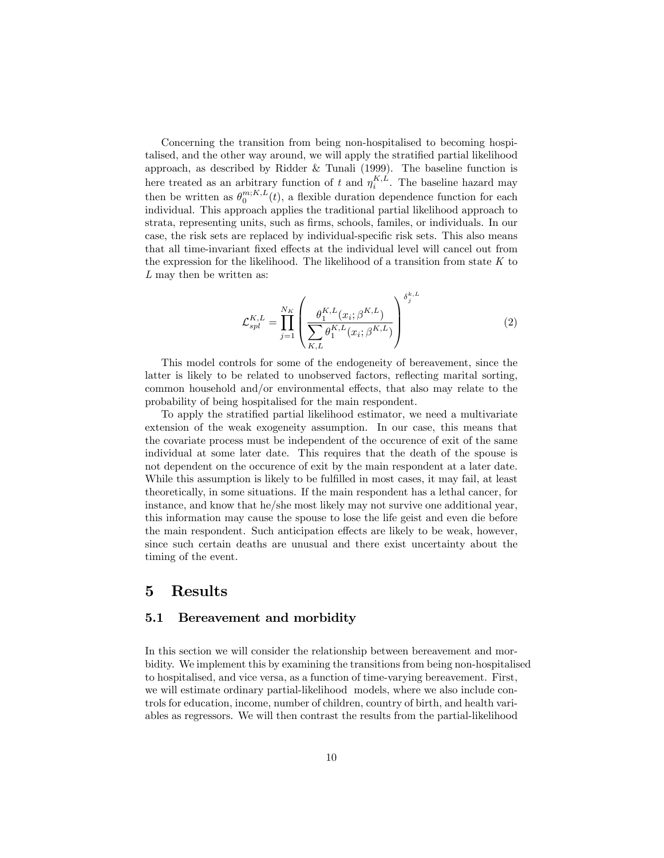Concerning the transition from being non-hospitalised to becoming hospitalised, and the other way around, we will apply the stratified partial likelihood approach, as described by Ridder & Tunali (1999). The baseline function is here treated as an arbitrary function of t and  $\eta_i^{K,L}$ . The baseline hazard may i then be written as  $\theta_0^{m;K,L}(t)$ , a flexible duration dependence function for each individual. This approach applies the traditional partial likelihood approach to strata, representing units, such as Örms, schools, familes, or individuals. In our case, the risk sets are replaced by individual-specific risk sets. This also means that all time-invariant fixed effects at the individual level will cancel out from the expression for the likelihood. The likelihood of a transition from state  $K$  to  $L$  may then be written as:

$$
\mathcal{L}_{spl}^{K,L} = \prod_{j=1}^{N_K} \left( \frac{\theta_1^{K,L}(x_i; \beta^{K,L})}{\sum_{K,L} \theta_1^{K,L}(x_i; \beta^{K,L})} \right)^{\delta_j^{k,L}}
$$
(2)

This model controls for some of the endogeneity of bereavement, since the latter is likely to be related to unobserved factors, reflecting marital sorting, common household and/or environmental effects, that also may relate to the probability of being hospitalised for the main respondent.

To apply the stratified partial likelihood estimator, we need a multivariate extension of the weak exogeneity assumption. In our case, this means that the covariate process must be independent of the occurence of exit of the same individual at some later date. This requires that the death of the spouse is not dependent on the occurence of exit by the main respondent at a later date. While this assumption is likely to be fulfilled in most cases, it may fail, at least theoretically, in some situations. If the main respondent has a lethal cancer, for instance, and know that he/she most likely may not survive one additional year, this information may cause the spouse to lose the life geist and even die before the main respondent. Such anticipation effects are likely to be weak, however, since such certain deaths are unusual and there exist uncertainty about the timing of the event.

#### 5 Results

#### 5.1 Bereavement and morbidity

In this section we will consider the relationship between bereavement and morbidity. We implement this by examining the transitions from being non-hospitalised to hospitalised, and vice versa, as a function of time-varying bereavement. First, we will estimate ordinary partial-likelihood models, where we also include controls for education, income, number of children, country of birth, and health variables as regressors. We will then contrast the results from the partial-likelihood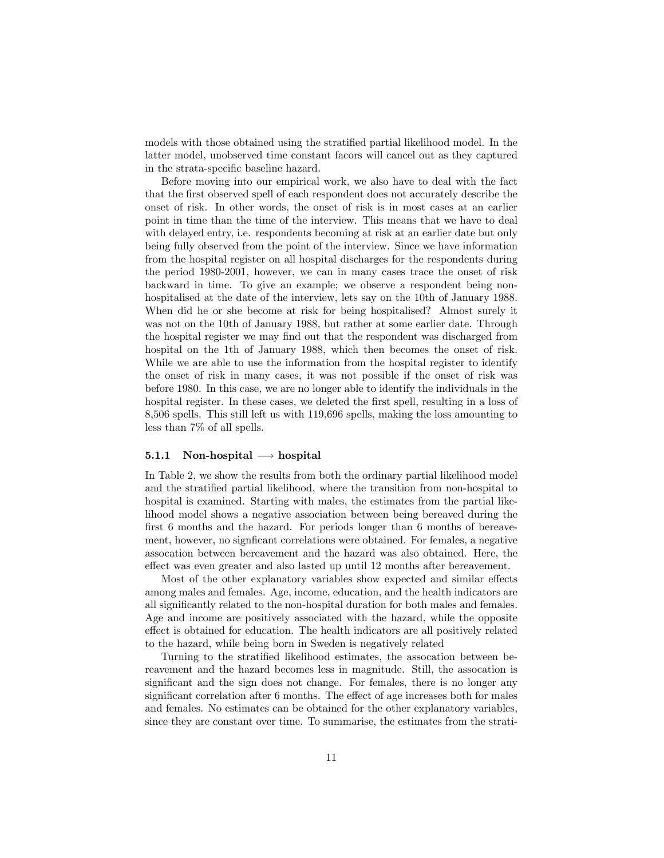models with those obtained using the stratified partial likelihood model. In the latter model, unobserved time constant facors will cancel out as they captured in the strata-specific baseline hazard.

Before moving into our empirical work, we also have to deal with the fact that the Örst observed spell of each respondent does not accurately describe the onset of risk. In other words, the onset of risk is in most cases at an earlier point in time than the time of the interview. This means that we have to deal with delayed entry, i.e. respondents becoming at risk at an earlier date but only being fully observed from the point of the interview. Since we have information from the hospital register on all hospital discharges for the respondents during the period 1980-2001, however, we can in many cases trace the onset of risk backward in time. To give an example; we observe a respondent being nonhospitalised at the date of the interview, lets say on the 10th of January 1988. When did he or she become at risk for being hospitalised? Almost surely it was not on the 10th of January 1988, but rather at some earlier date. Through the hospital register we may Önd out that the respondent was discharged from hospital on the 1th of January 1988, which then becomes the onset of risk. While we are able to use the information from the hospital register to identify the onset of risk in many cases, it was not possible if the onset of risk was before 1980. In this case, we are no longer able to identify the individuals in the hospital register. In these cases, we deleted the first spell, resulting in a loss of 8,506 spells. This still left us with 119,696 spells, making the loss amounting to less than 7% of all spells.

#### 5.1.1 Non-hospital  $\longrightarrow$  hospital

In Table 2, we show the results from both the ordinary partial likelihood model and the stratified partial likelihood, where the transition from non-hospital to hospital is examined. Starting with males, the estimates from the partial likelihood model shows a negative association between being bereaved during the first 6 months and the hazard. For periods longer than 6 months of bereavement, however, no significant correlations were obtained. For females, a negative assocation between bereavement and the hazard was also obtained. Here, the effect was even greater and also lasted up until 12 months after bereavement.

Most of the other explanatory variables show expected and similar effects among males and females. Age, income, education, and the health indicators are all significantly related to the non-hospital duration for both males and females. Age and income are positively associated with the hazard, while the opposite effect is obtained for education. The health indicators are all positively related to the hazard, while being born in Sweden is negatively related

Turning to the stratified likelihood estimates, the assocation between bereavement and the hazard becomes less in magnitude. Still, the assocation is significant and the sign does not change. For females, there is no longer any significant correlation after 6 months. The effect of age increases both for males and females. No estimates can be obtained for the other explanatory variables, since they are constant over time. To summarise, the estimates from the strati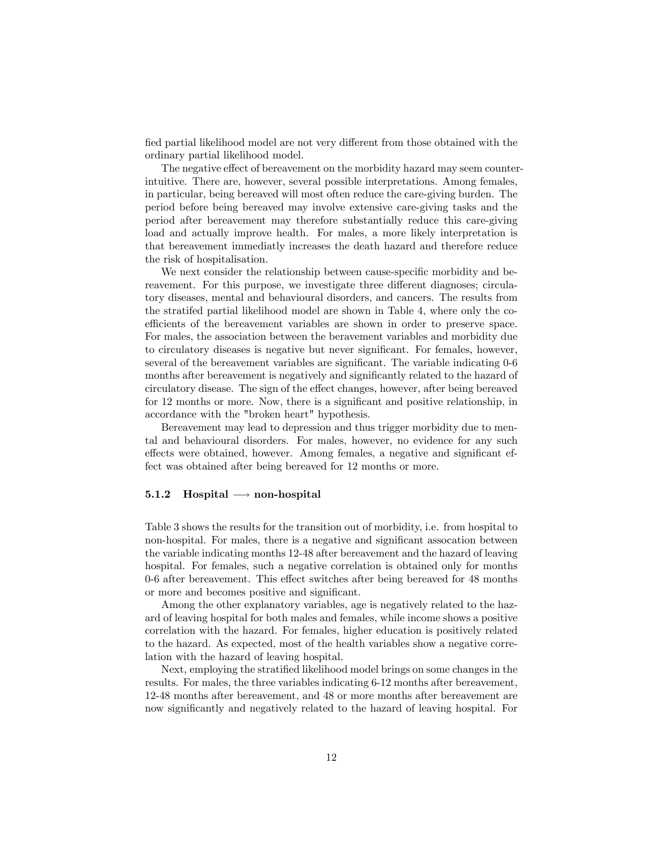fied partial likelihood model are not very different from those obtained with the ordinary partial likelihood model.

The negative effect of bereavement on the morbidity hazard may seem counterintuitive. There are, however, several possible interpretations. Among females, in particular, being bereaved will most often reduce the care-giving burden. The period before being bereaved may involve extensive care-giving tasks and the period after bereavement may therefore substantially reduce this care-giving load and actually improve health. For males, a more likely interpretation is that bereavement immediatly increases the death hazard and therefore reduce the risk of hospitalisation.

We next consider the relationship between cause-specific morbidity and bereavement. For this purpose, we investigate three different diagnoses; circulatory diseases, mental and behavioural disorders, and cancers. The results from the stratifed partial likelihood model are shown in Table 4, where only the coefficients of the bereavement variables are shown in order to preserve space. For males, the association between the beravement variables and morbidity due to circulatory diseases is negative but never significant. For females, however, several of the bereavement variables are significant. The variable indicating  $0-6$ months after bereavement is negatively and significantly related to the hazard of circulatory disease. The sign of the effect changes, however, after being bereaved for 12 months or more. Now, there is a significant and positive relationship, in accordance with the "broken heart" hypothesis.

Bereavement may lead to depression and thus trigger morbidity due to mental and behavioural disorders. For males, however, no evidence for any such effects were obtained, however. Among females, a negative and significant effect was obtained after being bereaved for 12 months or more.

#### 5.1.2 Hospital  $\longrightarrow$  non-hospital

Table 3 shows the results for the transition out of morbidity, i.e. from hospital to non-hospital. For males, there is a negative and significant assocation between the variable indicating months 12-48 after bereavement and the hazard of leaving hospital. For females, such a negative correlation is obtained only for months 0-6 after bereavement. This effect switches after being bereaved for 48 months or more and becomes positive and significant.

Among the other explanatory variables, age is negatively related to the hazard of leaving hospital for both males and females, while income shows a positive correlation with the hazard. For females, higher education is positively related to the hazard. As expected, most of the health variables show a negative correlation with the hazard of leaving hospital.

Next, employing the stratified likelihood model brings on some changes in the results. For males, the three variables indicating 6-12 months after bereavement, 12-48 months after bereavement, and 48 or more months after bereavement are now significantly and negatively related to the hazard of leaving hospital. For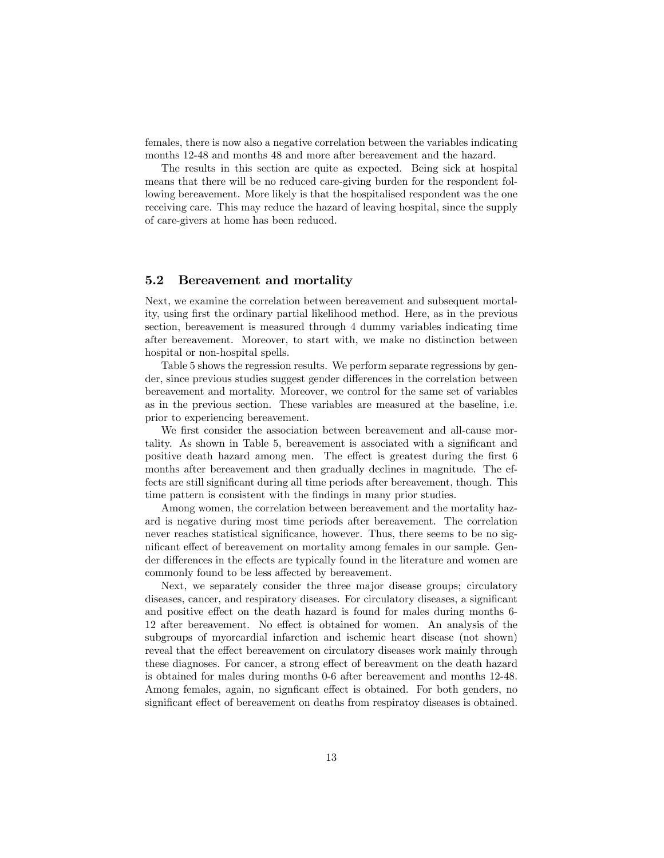females, there is now also a negative correlation between the variables indicating months 12-48 and months 48 and more after bereavement and the hazard.

The results in this section are quite as expected. Being sick at hospital means that there will be no reduced care-giving burden for the respondent following bereavement. More likely is that the hospitalised respondent was the one receiving care. This may reduce the hazard of leaving hospital, since the supply of care-givers at home has been reduced.

#### 5.2 Bereavement and mortality

Next, we examine the correlation between bereavement and subsequent mortality, using first the ordinary partial likelihood method. Here, as in the previous section, bereavement is measured through 4 dummy variables indicating time after bereavement. Moreover, to start with, we make no distinction between hospital or non-hospital spells.

Table 5 shows the regression results. We perform separate regressions by gender, since previous studies suggest gender differences in the correlation between bereavement and mortality. Moreover, we control for the same set of variables as in the previous section. These variables are measured at the baseline, i.e. prior to experiencing bereavement.

We first consider the association between bereavement and all-cause mortality. As shown in Table 5, bereavement is associated with a significant and positive death hazard among men. The effect is greatest during the first 6 months after bereavement and then gradually declines in magnitude. The effects are still significant during all time periods after bereavement, though. This time pattern is consistent with the findings in many prior studies.

Among women, the correlation between bereavement and the mortality hazard is negative during most time periods after bereavement. The correlation never reaches statistical significance, however. Thus, there seems to be no significant effect of bereavement on mortality among females in our sample. Gender differences in the effects are typically found in the literature and women are commonly found to be less affected by bereavement.

Next, we separately consider the three major disease groups; circulatory diseases, cancer, and respiratory diseases. For circulatory diseases, a significant and positive effect on the death hazard is found for males during months 6-12 after bereavement. No effect is obtained for women. An analysis of the subgroups of myorcardial infarction and ischemic heart disease (not shown) reveal that the effect bereavement on circulatory diseases work mainly through these diagnoses. For cancer, a strong effect of bereavment on the death hazard is obtained for males during months 0-6 after bereavement and months 12-48. Among females, again, no significant effect is obtained. For both genders, no significant effect of bereavement on deaths from respiratoy diseases is obtained.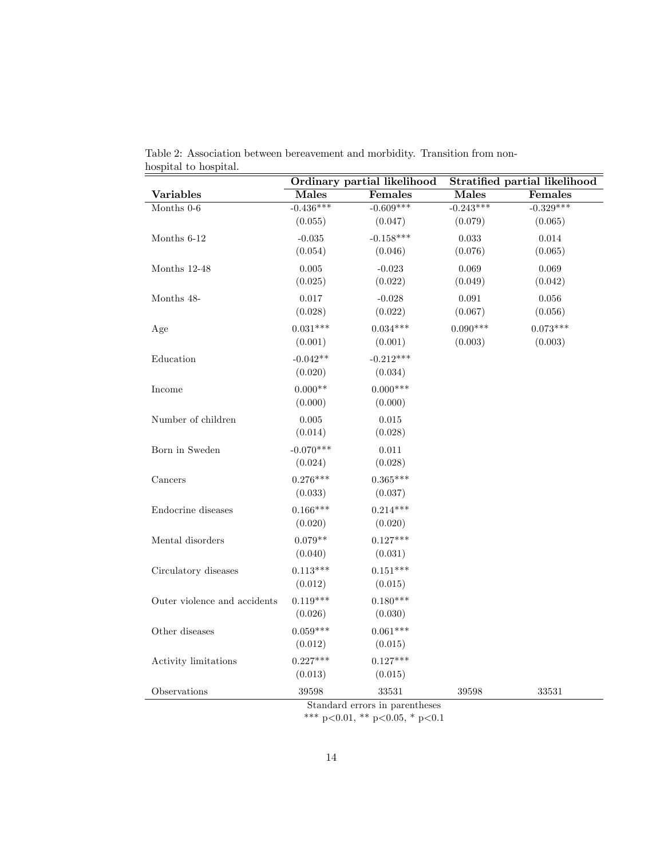|                              | Ordinary partial likelihood |             | Stratified partial likelihood |             |  |
|------------------------------|-----------------------------|-------------|-------------------------------|-------------|--|
| <b>Variables</b>             | <b>Males</b>                | Females     | <b>Males</b>                  | Females     |  |
| Months $0-6$                 | $-0.436***$                 | $-0.609***$ | $-0.243***$                   | $-0.329***$ |  |
|                              | (0.055)                     | (0.047)     | (0.079)                       | (0.065)     |  |
| Months 6-12                  | $-0.035$                    | $-0.158***$ | 0.033                         | 0.014       |  |
|                              | (0.054)                     | (0.046)     | (0.076)                       | (0.065)     |  |
| Months 12-48                 | 0.005                       | $-0.023$    | 0.069                         | 0.069       |  |
|                              | (0.025)                     | (0.022)     | (0.049)                       | (0.042)     |  |
| Months 48-                   | 0.017                       | $-0.028$    | 0.091                         | 0.056       |  |
|                              | (0.028)                     | (0.022)     | (0.067)                       | (0.056)     |  |
| Age                          | $0.031***$                  | $0.034***$  | $0.090***$                    | $0.073***$  |  |
|                              | (0.001)                     | (0.001)     | (0.003)                       | (0.003)     |  |
| Education                    | $-0.042**$                  | $-0.212***$ |                               |             |  |
|                              | (0.020)                     | (0.034)     |                               |             |  |
| Income                       | $0.000**$                   | $0.000***$  |                               |             |  |
|                              | (0.000)                     | (0.000)     |                               |             |  |
| Number of children           | 0.005                       | $0.015\,$   |                               |             |  |
|                              | (0.014)                     | (0.028)     |                               |             |  |
| Born in Sweden               | $-0.070***$                 | $0.011\,$   |                               |             |  |
|                              | (0.024)                     | (0.028)     |                               |             |  |
| Cancers                      | $0.276***$                  | $0.365***$  |                               |             |  |
|                              | (0.033)                     | (0.037)     |                               |             |  |
| Endocrine diseases           | $0.166***$                  | $0.214***$  |                               |             |  |
|                              | (0.020)                     | (0.020)     |                               |             |  |
| Mental disorders             | $0.079**$                   | $0.127***$  |                               |             |  |
|                              | (0.040)                     | (0.031)     |                               |             |  |
| Circulatory diseases         | $0.113***$                  | $0.151***$  |                               |             |  |
|                              | (0.012)                     | (0.015)     |                               |             |  |
| Outer violence and accidents | $0.119***$                  | $0.180***$  |                               |             |  |
|                              | (0.026)                     | (0.030)     |                               |             |  |
| Other diseases               | $0.059***$                  | $0.061***$  |                               |             |  |
|                              | (0.012)                     | (0.015)     |                               |             |  |
| Activity limitations         | $0.227***$                  | $0.127***$  |                               |             |  |
|                              | (0.013)                     | (0.015)     |                               |             |  |
| Observations                 | 39598                       | 33531       | 39598                         | 33531       |  |
|                              | $\alpha$                    | $\sim$      |                               |             |  |

Table 2: Association between bereavement and morbidity. Transition from nonhospital to hospital.

Standard errors in parentheses

\*\*\* p<0.01, \*\* p<0.05, \* p<0.1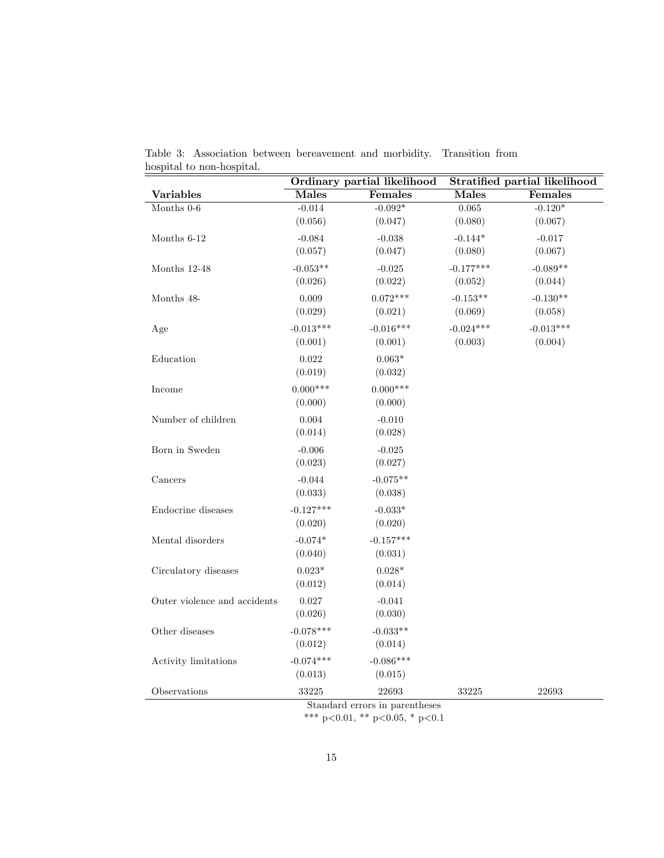|                                       | Ordinary partial likelihood |             | <b>Stratified partial likelihood</b> |                |  |
|---------------------------------------|-----------------------------|-------------|--------------------------------------|----------------|--|
| Variables                             | <b>Males</b>                | Females     | <b>Males</b>                         | <b>Females</b> |  |
| Months $0-6$                          | $-0.014$                    | $-0.092*$   | 0.065                                | $-0.120*$      |  |
|                                       | (0.056)                     | (0.047)     | (0.080)                              | (0.067)        |  |
| Months 6-12                           | $-0.084$                    | $-0.038$    | $-0.144*$                            | $-0.017$       |  |
|                                       | (0.057)                     | (0.047)     | (0.080)                              | (0.067)        |  |
| Months 12-48                          | $-0.053**$                  | $-0.025$    | $-0.177***$                          | $-0.089**$     |  |
|                                       | (0.026)                     | (0.022)     | (0.052)                              | (0.044)        |  |
| Months 48-                            | 0.009                       | $0.072***$  | $-0.153**$                           | $-0.130**$     |  |
|                                       | (0.029)                     | (0.021)     | (0.069)                              | (0.058)        |  |
| Age                                   | $-0.013***$                 | $-0.016***$ | $-0.024***$                          | $-0.013***$    |  |
|                                       | (0.001)                     | (0.001)     | (0.003)                              | (0.004)        |  |
| Education                             | 0.022                       | $0.063*$    |                                      |                |  |
|                                       | (0.019)                     | (0.032)     |                                      |                |  |
| Income                                | $0.000***$                  | $0.000***$  |                                      |                |  |
|                                       | (0.000)                     | (0.000)     |                                      |                |  |
| Number of children                    | 0.004                       | $-0.010$    |                                      |                |  |
|                                       | (0.014)                     | (0.028)     |                                      |                |  |
| Born in Sweden                        | $-0.006$                    | $-0.025$    |                                      |                |  |
|                                       | (0.023)                     | (0.027)     |                                      |                |  |
| Cancers                               | $-0.044$                    | $-0.075**$  |                                      |                |  |
|                                       | (0.033)                     | (0.038)     |                                      |                |  |
| Endocrine diseases                    | $-0.127***$                 | $-0.033*$   |                                      |                |  |
|                                       | (0.020)                     | (0.020)     |                                      |                |  |
| Mental disorders                      | $-0.074*$                   | $-0.157***$ |                                      |                |  |
|                                       | (0.040)                     | (0.031)     |                                      |                |  |
| Circulatory diseases                  | $0.023^{\ast}$              | $0.028*$    |                                      |                |  |
|                                       | (0.012)                     | (0.014)     |                                      |                |  |
| Outer violence and accidents          | $0.027\,$                   | $-0.041$    |                                      |                |  |
|                                       | (0.026)                     | (0.030)     |                                      |                |  |
| Other diseases                        | $-0.078***$                 | $-0.033**$  |                                      |                |  |
|                                       | (0.012)                     | (0.014)     |                                      |                |  |
| Activity limitations                  | $-0.074***$                 | $-0.086***$ |                                      |                |  |
|                                       | (0.013)                     | (0.015)     |                                      |                |  |
| Observations                          | 33225                       | 22693       | 33225                                | 22693          |  |
| $C_{\perp}$<br>- 11<br>$\overline{1}$ |                             |             |                                      |                |  |

Table 3: Association between bereavement and morbidity. Transition from hospital to non-hospital.

Standard errors in parentheses

\*\*\* p<0.01, \*\* p<0.05, \* p<0.1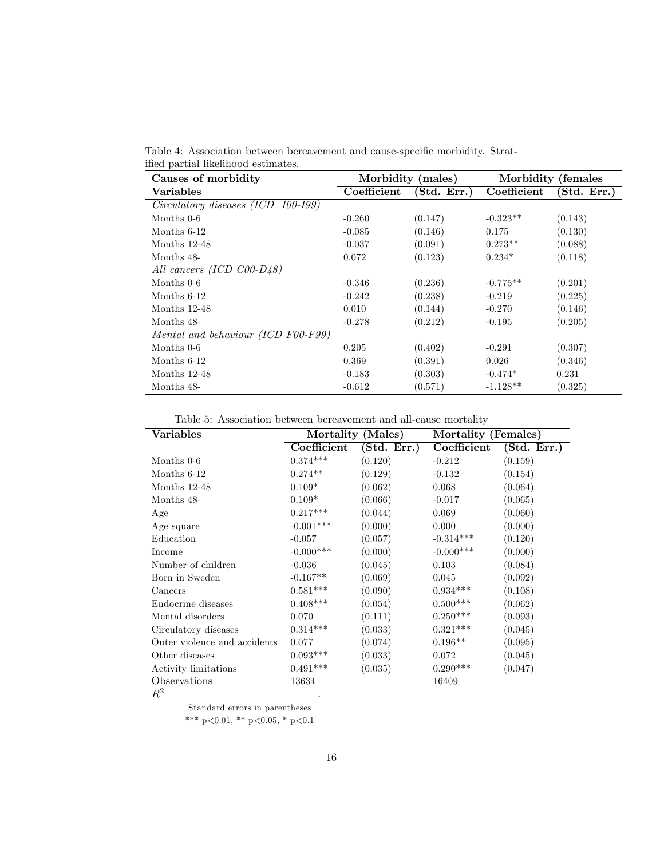Table 4: Association between bereavement and cause-specific morbidity. Stratified partial likelihood estimates.

| Causes of morbidity                        | Morbidity (males) |             |             | Morbidity (females |
|--------------------------------------------|-------------------|-------------|-------------|--------------------|
| Variables                                  | Coefficient       | (Std. Err.) | Coefficient | (Std. Err.)        |
| Circulatory diseases (ICD<br>$100 - 199$ ) |                   |             |             |                    |
| Months $0-6$                               | $-0.260$          | (0.147)     | $-0.323**$  | (0.143)            |
| Months 6-12                                | $-0.085$          | (0.146)     | 0.175       | (0.130)            |
| Months 12-48                               | $-0.037$          | (0.091)     | $0.273**$   | (0.088)            |
| Months 48-                                 | 0.072             | (0.123)     | $0.234*$    | (0.118)            |
| All cancers (ICD $C00-D48$ )               |                   |             |             |                    |
| Months $0-6$                               | $-0.346$          | (0.236)     | $-0.775**$  | (0.201)            |
| Months $6-12$                              | $-0.242$          | (0.238)     | $-0.219$    | (0.225)            |
| Months 12-48                               | 0.010             | (0.144)     | $-0.270$    | (0.146)            |
| Months 48-                                 | $-0.278$          | (0.212)     | $-0.195$    | (0.205)            |
| Mental and behaviour (ICD F00-F99)         |                   |             |             |                    |
| Months $0-6$                               | 0.205             | (0.402)     | $-0.291$    | (0.307)            |
| Months $6-12$                              | 0.369             | (0.391)     | 0.026       | (0.346)            |
| Months $12-48$                             | $-0.183$          | (0.303)     | $-0.474*$   | 0.231              |
| Months 48-                                 | $-0.612$          | (0.571)     | $-1.128**$  | (0.325)            |

Table 5: Association between bereavement and all-cause mortality

| Variables                              | Mortality (Males) |                        | Mortality (Females) |                                         |  |
|----------------------------------------|-------------------|------------------------|---------------------|-----------------------------------------|--|
|                                        | Coefficient       | $(\mathrm{Std.}$ Err.) | Coefficient         | $(\overline{\text{Std}}. \text{ Err.})$ |  |
| Months $0-6$                           | $0.374***$        | (0.120)                | $-0.212$            | (0.159)                                 |  |
| Months $6-12$                          | $0.274**$         | (0.129)                | $-0.132$            | (0.154)                                 |  |
| Months 12-48                           | $0.109*$          | (0.062)                | 0.068               | (0.064)                                 |  |
| Months 48-                             | $0.109*$          | (0.066)                | $-0.017$            | (0.065)                                 |  |
| Age                                    | $0.217***$        | (0.044)                | 0.069               | (0.060)                                 |  |
| Age square                             | $-0.001***$       | (0.000)                | 0.000               | (0.000)                                 |  |
| Education                              | $-0.057$          | (0.057)                | $-0.314***$         | (0.120)                                 |  |
| Income                                 | $-0.000***$       | (0.000)                | $-0.000$ ***        | (0.000)                                 |  |
| Number of children                     | $-0.036$          | (0.045)                | 0.103               | (0.084)                                 |  |
| Born in Sweden                         | $-0.167**$        | (0.069)                | 0.045               | (0.092)                                 |  |
| Cancers                                | $0.581***$        | (0.090)                | $0.934***$          | (0.108)                                 |  |
| Endocrine diseases                     | $0.408***$        | (0.054)                | $0.500***$          | (0.062)                                 |  |
| Mental disorders                       | 0.070             | (0.111)                | $0.250***$          | (0.093)                                 |  |
| Circulatory diseases                   | $0.314^{***}\;$   | (0.033)                | $0.321***$          | (0.045)                                 |  |
| Outer violence and accidents           | 0.077             | (0.074)                | $0.196**$           | (0.095)                                 |  |
| Other diseases                         | $0.093***$        | (0.033)                | 0.072               | (0.045)                                 |  |
| Activity limitations                   | $0.491***$        | (0.035)                | $0.290***$          | (0.047)                                 |  |
| Observations                           | 13634             |                        | 16409               |                                         |  |
| $R^2$                                  |                   |                        |                     |                                         |  |
| Standard errors in parentheses         |                   |                        |                     |                                         |  |
| *** $p<0.01$ , ** $p<0.05$ , * $p<0.1$ |                   |                        |                     |                                         |  |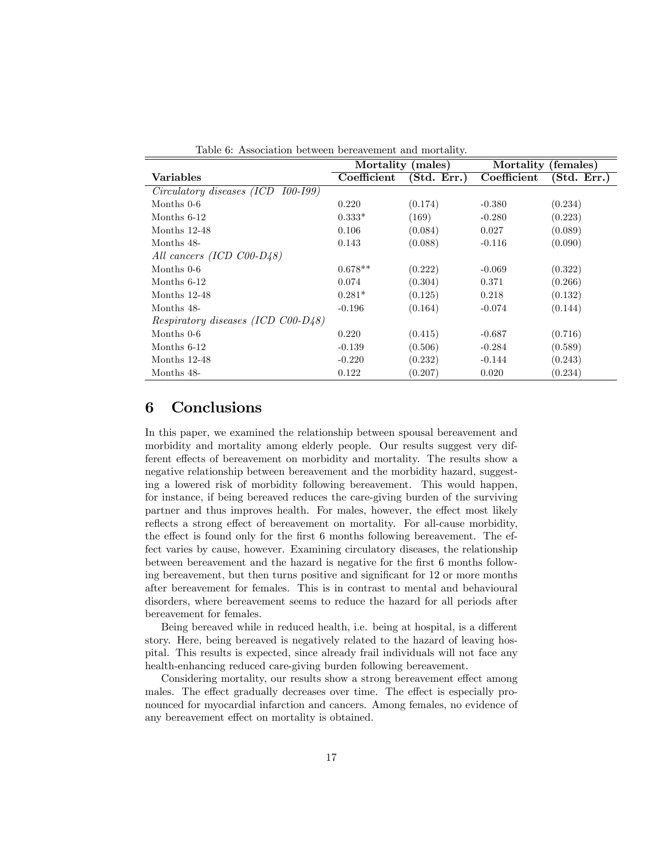| rapic 0. Theoclassical personnel percareflicity and increase, |                   |             |                     |                                              |  |
|---------------------------------------------------------------|-------------------|-------------|---------------------|----------------------------------------------|--|
|                                                               | Mortality (males) |             | Mortality (females) |                                              |  |
| Variables                                                     | Coefficient       | (Std. Err.) | Coefficient         | $(\overline{\mathbf{Std}}. \ \mathbf{Err.})$ |  |
| Circulatory diseases (ICD<br>$100 - 199$                      |                   |             |                     |                                              |  |
| Months 0-6                                                    | 0.220             | (0.174)     | $-0.380$            | (0.234)                                      |  |
| Months $6-12$                                                 | $0.333*$          | (169)       | $-0.280$            | (0.223)                                      |  |
| Months 12-48                                                  | 0.106             | (0.084)     | 0.027               | (0.089)                                      |  |
| Months 48-                                                    | 0.143             | (0.088)     | $-0.116$            | (0.090)                                      |  |
| All cancers (ICD C00-D48)                                     |                   |             |                     |                                              |  |
| Months 0-6                                                    | $0.678**$         | (0.222)     | $-0.069$            | (0.322)                                      |  |
| Months $6-12$                                                 | 0.074             | (0.304)     | 0.371               | (0.266)                                      |  |
| Months $12-48$                                                | $0.281*$          | (0.125)     | 0.218               | (0.132)                                      |  |
| Months 48-                                                    | $-0.196$          | (0.164)     | $-0.074$            | (0.144)                                      |  |
| <i>Respiratory diseases (ICD C00-D48)</i>                     |                   |             |                     |                                              |  |
| Months 0-6                                                    | 0.220             | (0.415)     | $-0.687$            | (0.716)                                      |  |
| Months $6-12$                                                 | $-0.139$          | (0.506)     | $-0.284$            | (0.589)                                      |  |
| Months $12-48$                                                | $-0.220$          | (0.232)     | $-0.144$            | (0.243)                                      |  |
| Months 48-                                                    | 0.122             | (0.207)     | 0.020               | (0.234)                                      |  |

Table 6: Association between bereavement and mortality.

### 6 Conclusions

In this paper, we examined the relationship between spousal bereavement and morbidity and mortality among elderly people. Our results suggest very different effects of bereavement on morbidity and mortality. The results show a negative relationship between bereavement and the morbidity hazard, suggesting a lowered risk of morbidity following bereavement. This would happen, for instance, if being bereaved reduces the care-giving burden of the surviving partner and thus improves health. For males, however, the effect most likely reflects a strong effect of bereavement on mortality. For all-cause morbidity, the effect is found only for the first 6 months following bereavement. The effect varies by cause, however. Examining circulatory diseases, the relationship between bereavement and the hazard is negative for the first 6 months following bereavement, but then turns positive and significant for 12 or more months after bereavement for females. This is in contrast to mental and behavioural disorders, where bereavement seems to reduce the hazard for all periods after bereavement for females.

Being bereaved while in reduced health, i.e. being at hospital, is a different story. Here, being bereaved is negatively related to the hazard of leaving hospital. This results is expected, since already frail individuals will not face any health-enhancing reduced care-giving burden following bereavement.

Considering mortality, our results show a strong bereavement effect among males. The effect gradually decreases over time. The effect is especially pronounced for myocardial infarction and cancers. Among females, no evidence of any bereavement effect on mortality is obtained.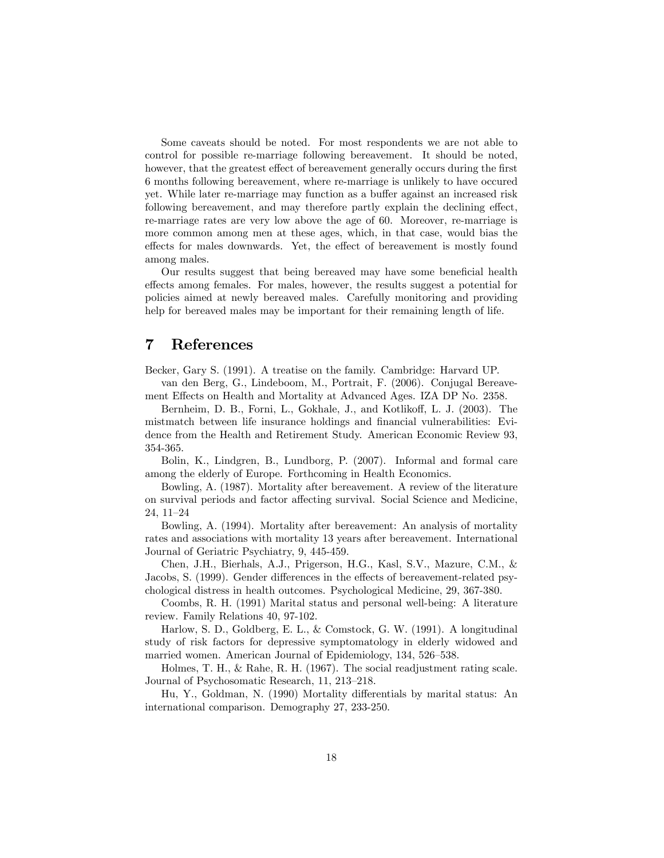Some caveats should be noted. For most respondents we are not able to control for possible re-marriage following bereavement. It should be noted, however, that the greatest effect of bereavement generally occurs during the first 6 months following bereavement, where re-marriage is unlikely to have occured yet. While later re-marriage may function as a buffer against an increased risk following bereavement, and may therefore partly explain the declining effect, re-marriage rates are very low above the age of 60. Moreover, re-marriage is more common among men at these ages, which, in that case, would bias the effects for males downwards. Yet, the effect of bereavement is mostly found among males.

Our results suggest that being bereaved may have some beneficial health effects among females. For males, however, the results suggest a potential for policies aimed at newly bereaved males. Carefully monitoring and providing help for bereaved males may be important for their remaining length of life.

### 7 References

Becker, Gary S. (1991). A treatise on the family. Cambridge: Harvard UP.

van den Berg, G., Lindeboom, M., Portrait, F. (2006). Conjugal Bereavement Effects on Health and Mortality at Advanced Ages. IZA DP No. 2358.

Bernheim, D. B., Forni, L., Gokhale, J., and Kotlikoff, L. J. (2003). The mistmatch between life insurance holdings and financial vulnerabilities: Evidence from the Health and Retirement Study. American Economic Review 93, 354-365.

Bolin, K., Lindgren, B., Lundborg, P. (2007). Informal and formal care among the elderly of Europe. Forthcoming in Health Economics.

Bowling, A. (1987). Mortality after bereavement. A review of the literature on survival periods and factor affecting survival. Social Science and Medicine,  $24, 11-24$ 

Bowling, A. (1994). Mortality after bereavement: An analysis of mortality rates and associations with mortality 13 years after bereavement. International Journal of Geriatric Psychiatry, 9, 445-459.

Chen, J.H., Bierhals, A.J., Prigerson, H.G., Kasl, S.V., Mazure, C.M., & Jacobs, S. (1999). Gender differences in the effects of bereavement-related psychological distress in health outcomes. Psychological Medicine, 29, 367-380.

Coombs, R. H. (1991) Marital status and personal well-being: A literature review. Family Relations 40, 97-102.

Harlow, S. D., Goldberg, E. L., & Comstock, G. W. (1991). A longitudinal study of risk factors for depressive symptomatology in elderly widowed and married women. American Journal of Epidemiology, 134, 526–538.

Holmes, T. H., & Rahe, R. H. (1967). The social readjustment rating scale. Journal of Psychosomatic Research, 11, 213–218.

Hu, Y., Goldman, N. (1990) Mortality differentials by marital status: An international comparison. Demography 27, 233-250.